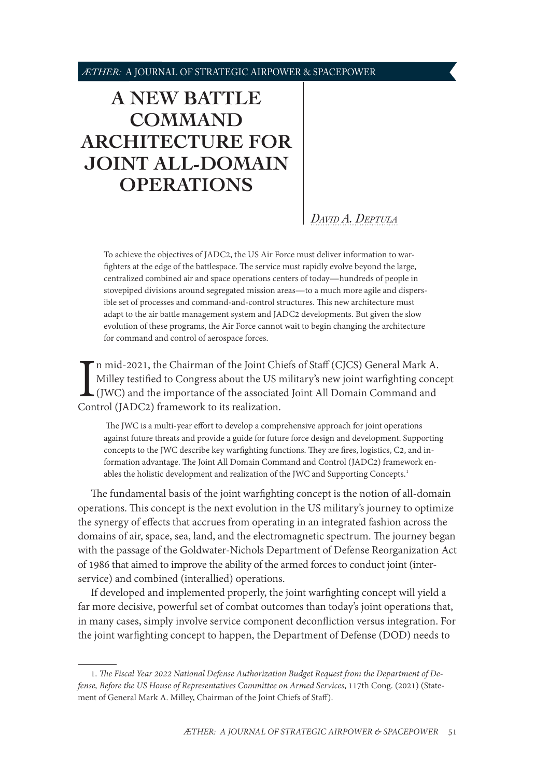# <span id="page-0-1"></span>**[A NEW BATTLE](#page-0-0)  [COMMAND](#page-0-0)  [ARCHITECTURE FOR](#page-0-0)  [JOINT ALL-DOMAIN](#page-0-0)  [OPERATIONS](#page-0-0)**

*David [A. Deptula](#page-5-0)*

To achieve the objectives of JADC2, the US Air Force must deliver information to warfighters at the edge of the battlespace. The service must rapidly evolve beyond the large, centralized combined air and space operations centers of today—hundreds of people in stovepiped divisions around segregated mission areas—to a much more agile and dispersible set of processes and command-and-control structures. This new architecture must adapt to the air battle management system and JADC2 developments. But given the slow evolution of these programs, the Air Force cannot wait to begin changing the architecture for command and control of aerospace forces.

In mid-2021, the Chairman of the Joint Ch<br>Milley testified to Congress about the US i<br>(JWC) and the importance of the associate<br>Control (JADC2) framework to its realization. n mid-2021, the Chairman of the Joint Chiefs of Staff (CJCS) General Mark A. Milley testified to Congress about the US military's new joint warfighting concept (JWC) and the importance of the associated Joint All Domain Command and

 The JWC is a multi-year effort to develop a comprehensive approach for joint operations against future threats and provide a guide for future force design and development. Supporting concepts to the JWC describe key warfighting functions. They are fires, logistics, C2, and information advantage. The Joint All Domain Command and Control (JADC2) framework enables the holistic development and realization of the JWC and Supporting Concepts.<sup>1</sup>

The fundamental basis of the joint warfighting concept is the notion of all-domain operations. This concept is the next evolution in the US military's journey to optimize the synergy of effects that accrues from operating in an integrated fashion across the domains of air, space, sea, land, and the electromagnetic spectrum. The journey began with the passage of the Goldwater-Nichols Department of Defense Reorganization Act of 1986 that aimed to improve the ability of the armed forces to conduct joint (interservice) and combined (interallied) operations.

If developed and implemented properly, the joint warfighting concept will yield a far more decisive, powerful set of combat outcomes than today's joint operations that, in many cases, simply involve service component deconfliction versus integration. For the joint warfighting concept to happen, the Department of Defense (DOD) needs to

<span id="page-0-0"></span><sup>1.</sup> *The Fiscal Year 2022 National Defense Authorization Budget Request from the Department of Defense, Before the US House of Representatives Committee on Armed Services*, 117th Cong. (2021) (Statement of General Mark A. Milley, Chairman of the Joint Chiefs of Staff).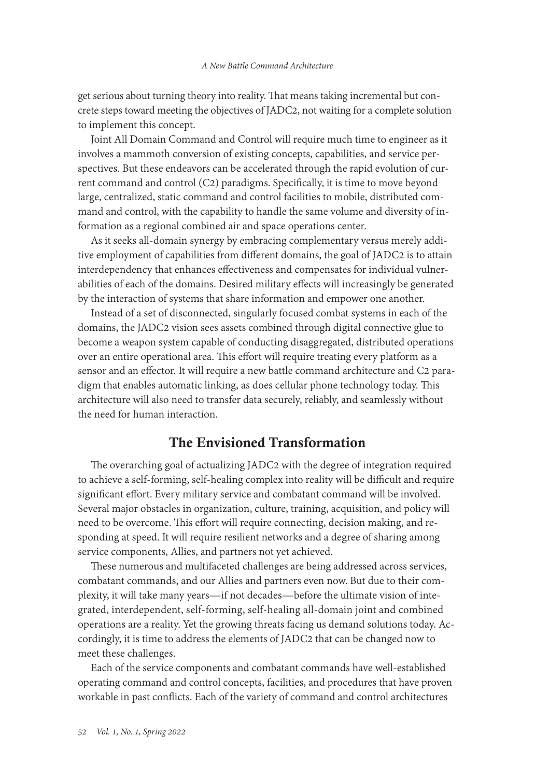get serious about turning theory into reality. That means taking incremental but concrete steps toward meeting the objectives of JADC2, not waiting for a complete solution to implement this concept.

Joint All Domain Command and Control will require much time to engineer as it involves a mammoth conversion of existing concepts, capabilities, and service perspectives. But these endeavors can be accelerated through the rapid evolution of current command and control (C2) paradigms. Specifically, it is time to move beyond large, centralized, static command and control facilities to mobile, distributed command and control, with the capability to handle the same volume and diversity of information as a regional combined air and space operations center.

As it seeks all-domain synergy by embracing complementary versus merely additive employment of capabilities from different domains, the goal of JADC2 is to attain interdependency that enhances effectiveness and compensates for individual vulnerabilities of each of the domains. Desired military effects will increasingly be generated by the interaction of systems that share information and empower one another.

Instead of a set of disconnected, singularly focused combat systems in each of the domains, the JADC2 vision sees assets combined through digital connective glue to become a weapon system capable of conducting disaggregated, distributed operations over an entire operational area. This effort will require treating every platform as a sensor and an effector. It will require a new battle command architecture and C2 paradigm that enables automatic linking, as does cellular phone technology today. This architecture will also need to transfer data securely, reliably, and seamlessly without the need for human interaction.

## The Envisioned Transformation

The overarching goal of actualizing JADC2 with the degree of integration required to achieve a self-forming, self-healing complex into reality will be difficult and require significant effort. Every military service and combatant command will be involved. Several major obstacles in organization, culture, training, acquisition, and policy will need to be overcome. This effort will require connecting, decision making, and responding at speed. It will require resilient networks and a degree of sharing among service components, Allies, and partners not yet achieved.

These numerous and multifaceted challenges are being addressed across services, combatant commands, and our Allies and partners even now. But due to their complexity, it will take many years—if not decades—before the ultimate vision of integrated, interdependent, self-forming, self-healing all-domain joint and combined operations are a reality. Yet the growing threats facing us demand solutions today. Accordingly, it is time to address the elements of JADC2 that can be changed now to meet these challenges.

Each of the service components and combatant commands have well-established operating command and control concepts, facilities, and procedures that have proven workable in past conflicts. Each of the variety of command and control architectures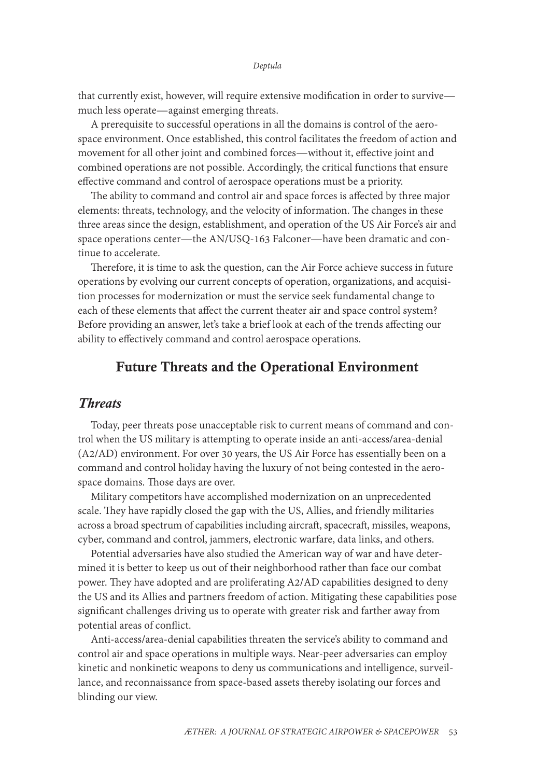#### *Deptula*

that currently exist, however, will require extensive modification in order to survive much less operate—against emerging threats.

A prerequisite to successful operations in all the domains is control of the aerospace environment. Once established, this control facilitates the freedom of action and movement for all other joint and combined forces—without it, effective joint and combined operations are not possible. Accordingly, the critical functions that ensure effective command and control of aerospace operations must be a priority.

The ability to command and control air and space forces is affected by three major elements: threats, technology, and the velocity of information. The changes in these three areas since the design, establishment, and operation of the US Air Force's air and space operations center—the AN/USQ-163 Falconer—have been dramatic and continue to accelerate.

Therefore, it is time to ask the question, can the Air Force achieve success in future operations by evolving our current concepts of operation, organizations, and acquisition processes for modernization or must the service seek fundamental change to each of these elements that affect the current theater air and space control system? Before providing an answer, let's take a brief look at each of the trends affecting our ability to effectively command and control aerospace operations.

## Future Threats and the Operational Environment

#### *Threats*

Today, peer threats pose unacceptable risk to current means of command and control when the US military is attempting to operate inside an anti-access/area-denial (A2/AD) environment. For over 30 years, the US Air Force has essentially been on a command and control holiday having the luxury of not being contested in the aerospace domains. Those days are over.

Military competitors have accomplished modernization on an unprecedented scale. They have rapidly closed the gap with the US, Allies, and friendly militaries across a broad spectrum of capabilities including aircraft, spacecraft, missiles, weapons, cyber, command and control, jammers, electronic warfare, data links, and others.

Potential adversaries have also studied the American way of war and have determined it is better to keep us out of their neighborhood rather than face our combat power. They have adopted and are proliferating A2/AD capabilities designed to deny the US and its Allies and partners freedom of action. Mitigating these capabilities pose significant challenges driving us to operate with greater risk and farther away from potential areas of conflict.

Anti-access/area-denial capabilities threaten the service's ability to command and control air and space operations in multiple ways. Near-peer adversaries can employ kinetic and nonkinetic weapons to deny us communications and intelligence, surveillance, and reconnaissance from space-based assets thereby isolating our forces and blinding our view.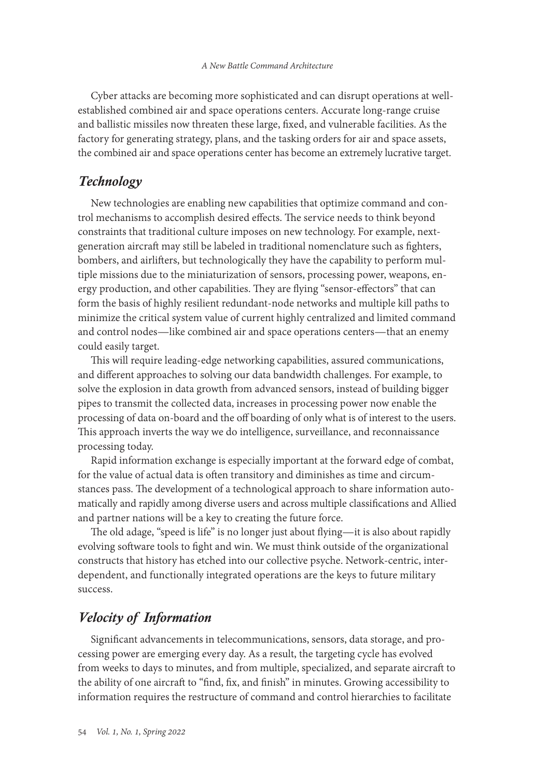Cyber attacks are becoming more sophisticated and can disrupt operations at wellestablished combined air and space operations centers. Accurate long-range cruise and ballistic missiles now threaten these large, fixed, and vulnerable facilities. As the factory for generating strategy, plans, and the tasking orders for air and space assets, the combined air and space operations center has become an extremely lucrative target.

## *Technology*

New technologies are enabling new capabilities that optimize command and control mechanisms to accomplish desired effects. The service needs to think beyond constraints that traditional culture imposes on new technology. For example, nextgeneration aircraft may still be labeled in traditional nomenclature such as fighters, bombers, and airlifters, but technologically they have the capability to perform multiple missions due to the miniaturization of sensors, processing power, weapons, energy production, and other capabilities. They are flying "sensor-effectors" that can form the basis of highly resilient redundant-node networks and multiple kill paths to minimize the critical system value of current highly centralized and limited command and control nodes—like combined air and space operations centers—that an enemy could easily target.

This will require leading-edge networking capabilities, assured communications, and different approaches to solving our data bandwidth challenges. For example, to solve the explosion in data growth from advanced sensors, instead of building bigger pipes to transmit the collected data, increases in processing power now enable the processing of data on-board and the off boarding of only what is of interest to the users. This approach inverts the way we do intelligence, surveillance, and reconnaissance processing today.

Rapid information exchange is especially important at the forward edge of combat, for the value of actual data is often transitory and diminishes as time and circumstances pass. The development of a technological approach to share information automatically and rapidly among diverse users and across multiple classifications and Allied and partner nations will be a key to creating the future force.

The old adage, "speed is life" is no longer just about flying—it is also about rapidly evolving software tools to fight and win. We must think outside of the organizational constructs that history has etched into our collective psyche. Network-centric, interdependent, and functionally integrated operations are the keys to future military success.

## *Velocity of Information*

Significant advancements in telecommunications, sensors, data storage, and processing power are emerging every day. As a result, the targeting cycle has evolved from weeks to days to minutes, and from multiple, specialized, and separate aircraft to the ability of one aircraft to "find, fix, and finish" in minutes. Growing accessibility to information requires the restructure of command and control hierarchies to facilitate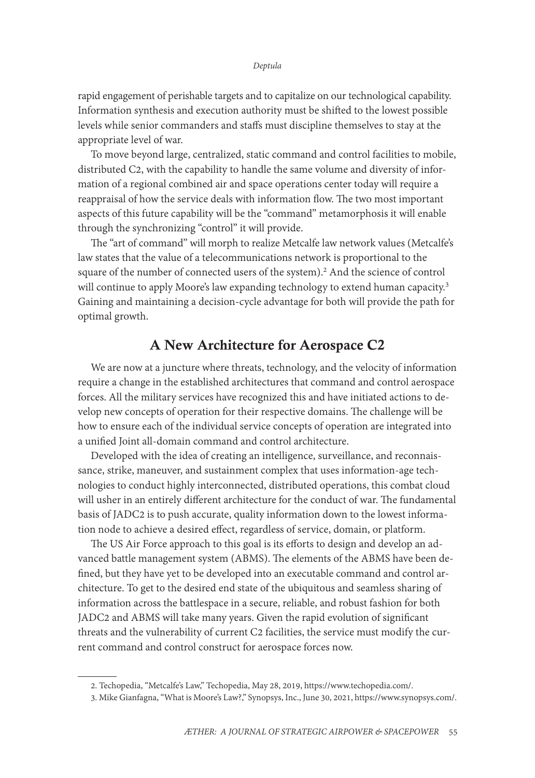rapid engagement of perishable targets and to capitalize on our technological capability. Information synthesis and execution authority must be shifted to the lowest possible levels while senior commanders and staffs must discipline themselves to stay at the appropriate level of war.

To move beyond large, centralized, static command and control facilities to mobile, distributed C2, with the capability to handle the same volume and diversity of information of a regional combined air and space operations center today will require a reappraisal of how the service deals with information flow. The two most important aspects of this future capability will be the "command" metamorphosis it will enable through the synchronizing "control" it will provide.

The "art of command" will morph to realize Metcalfe law network values (Metcalfe's law states that the value of a telecommunications network is proportional to the square of the number of connected users of the system).<sup>2</sup> And the science of control will continue to apply Moore's law expanding technology to extend human capacity.<sup>3</sup> Gaining and maintaining a decision-cycle advantage for both will provide the path for optimal growth.

## A New Architecture for Aerospace C2

We are now at a juncture where threats, technology, and the velocity of information require a change in the established architectures that command and control aerospace forces. All the military services have recognized this and have initiated actions to develop new concepts of operation for their respective domains. The challenge will be how to ensure each of the individual service concepts of operation are integrated into a unified Joint all-domain command and control architecture.

Developed with the idea of creating an intelligence, surveillance, and reconnaissance, strike, maneuver, and sustainment complex that uses information-age technologies to conduct highly interconnected, distributed operations, this combat cloud will usher in an entirely different architecture for the conduct of war. The fundamental basis of JADC2 is to push accurate, quality information down to the lowest information node to achieve a desired effect, regardless of service, domain, or platform.

The US Air Force approach to this goal is its efforts to design and develop an advanced battle management system (ABMS). The elements of the ABMS have been defined, but they have yet to be developed into an executable command and control architecture. To get to the desired end state of the ubiquitous and seamless sharing of information across the battlespace in a secure, reliable, and robust fashion for both JADC2 and ABMS will take many years. Given the rapid evolution of significant threats and the vulnerability of current C2 facilities, the service must modify the current command and control construct for aerospace forces now.

<sup>2.</sup> Techopedia, "Metcalfe's Law," Techopedia, May 28, 2019, [https://www.techopedia.com/.](https://www.techopedia.com/definition/29066/metcalfes-law)

<sup>3.</sup> Mike Gianfagna, "What is Moore's Law?," Synopsys, Inc., June 30, 2021, [https://www.synopsys.com/](https://www.synopsys.com/glossary/what-is-moores-law.html).